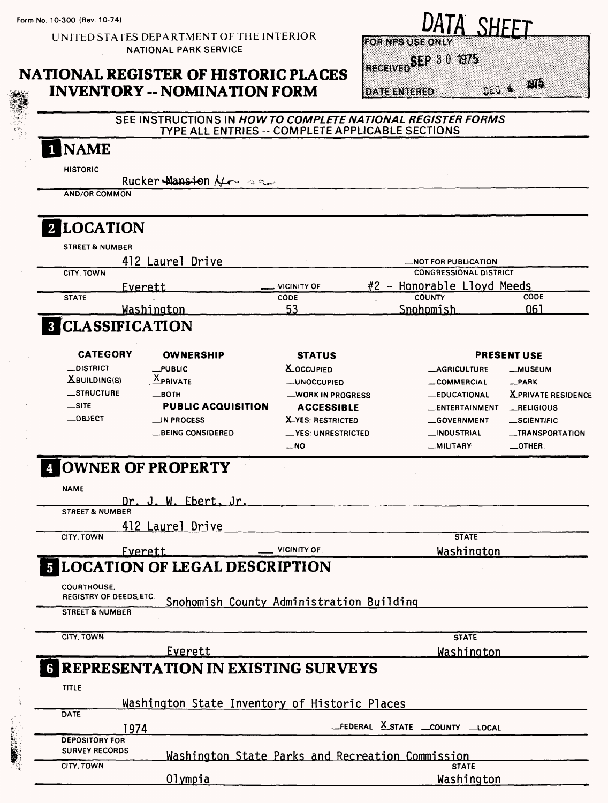**Form No. 10-300 (Rev. 10-74)**

UNITED STATES DEPARTMENT OF THE INTERIOR NATIONAL PARK SERVICE

### **NATIONAL REGISTER OF HISTORIC PLACES INVENTORY -- NOMINATION FORM**

| DATA SHEET                   |    |
|------------------------------|----|
| <b>FOR NPS USE ONLY</b>      |    |
| RECEIVED <b>SEP</b> 3 0 1975 |    |
| ృౖు 4<br><b>DATE ENTERED</b> | 心わ |

#### **SEE INSTRUCTIONS IN HOWTO COMPLETE NATIONAL REGISTER FORMS TYPE ALL ENTRIES -- COMPLETE APPLICABLE SECTIONS**

# INAME

**HISTORIC**

Rucker Mansion  $\mathcal{H}_{\mathbf{r}}$  as

**AND/OR COMMON**

# **2** LOCATION

| <b>STREET &amp; NUMBER</b> |                  |             |                               |      |
|----------------------------|------------------|-------------|-------------------------------|------|
|                            | 412 Laurel Drive |             | _NOT FOR PUBLICATION          |      |
| CITY. TOWN                 |                  |             | <b>CONGRESSIONAL DISTRICT</b> |      |
|                            | <u>Everett</u>   | VICINITY OF | #2 - Honorable Lloyd Meeds    |      |
| <b>STATE</b>               |                  | <b>CODE</b> | <b>COUNTY</b>                 | CODE |
|                            | Washington       | 53          | Snohomish                     | 061  |

| <b>CATEGORY</b>  | <b>OWNERSHIP</b>          | <b>STATUS</b>               |                       | <b>PRESENT USE</b>        |
|------------------|---------------------------|-----------------------------|-----------------------|---------------------------|
| $\_$ DISTRICT    | $L$ PUBLIC                | <b>X_OCCUPIED</b>           | <b>_AGRICULTURE</b>   | __MUSEUM                  |
| $X$ BUILDING(S)  | <b>APRIVATE</b>           | <b>_UNOCCUPIED</b>          | COMMERCIAL            | _PARK                     |
| <b>STRUCTURE</b> | —вотн                     | _WORK IN PROGRESS           | <b>_EDUCATIONAL</b>   | <b>XPRIVATE RESIDENCE</b> |
| $\equiv$ SITE    | <b>PUBLIC ACQUISITION</b> | <b>ACCESSIBLE</b>           | <b>LENTERTAINMENT</b> | __RELIGIOUS               |
| $\_$ OBJECT      | $\Box$ IN PROCESS         | <b>X_YES: RESTRICTED</b>    | GOVERNMENT            | _SCIENTIFIC               |
|                  | <b>LBEING CONSIDERED</b>  | <b>__ YES: UNRESTRICTED</b> | <b>__INDUSTRIAL</b>   | __TRANSPORTATION          |
|                  |                           | $-NO$                       | <b>MILITARY</b>       | $\equiv$ OTHER:           |

# **[OWNER OF PROPERTY**

| <b>NAME</b>                                         |                                             |                                                  |                                   |  |
|-----------------------------------------------------|---------------------------------------------|--------------------------------------------------|-----------------------------------|--|
|                                                     | Dr. J. W. Ebert, Jr.                        |                                                  |                                   |  |
| <b>STREET &amp; NUMBER</b>                          |                                             |                                                  |                                   |  |
|                                                     | 412 Laurel Drive                            |                                                  |                                   |  |
| CITY, TOWN                                          |                                             |                                                  | <b>STATE</b>                      |  |
|                                                     | <u>Everett</u>                              | <b>VICINITY OF</b>                               | Washington                        |  |
|                                                     | <b>5 LOCATION OF LEGAL DESCRIPTION</b>      |                                                  |                                   |  |
| <b>COURTHOUSE.</b><br><b>REGISTRY OF DEEDS ETC.</b> |                                             | Snohomish County Administration Building         |                                   |  |
| <b>STREET &amp; NUMBER</b>                          |                                             |                                                  |                                   |  |
| CITY, TOWN                                          |                                             |                                                  | <b>STATE</b>                      |  |
|                                                     | Everett                                     |                                                  | Washington                        |  |
|                                                     | <b>6 REPRESENTATION IN EXISTING SURVEYS</b> |                                                  |                                   |  |
| <b>TITLE</b>                                        |                                             |                                                  |                                   |  |
|                                                     |                                             | Washington State Inventory of Historic Places    |                                   |  |
| <b>DATE</b>                                         |                                             |                                                  |                                   |  |
|                                                     | 1974                                        |                                                  | _FEDERAL X_STATE __COUNTY __LOCAL |  |
| <b>DEPOSITORY FOR</b><br><b>SURVEY RECORDS</b>      |                                             | Washington State Parks and Recreation Commission |                                   |  |
| CITY, TOWN                                          |                                             |                                                  | <b>STATE</b>                      |  |
|                                                     | <u>Oly</u> mpia                             |                                                  | Washington                        |  |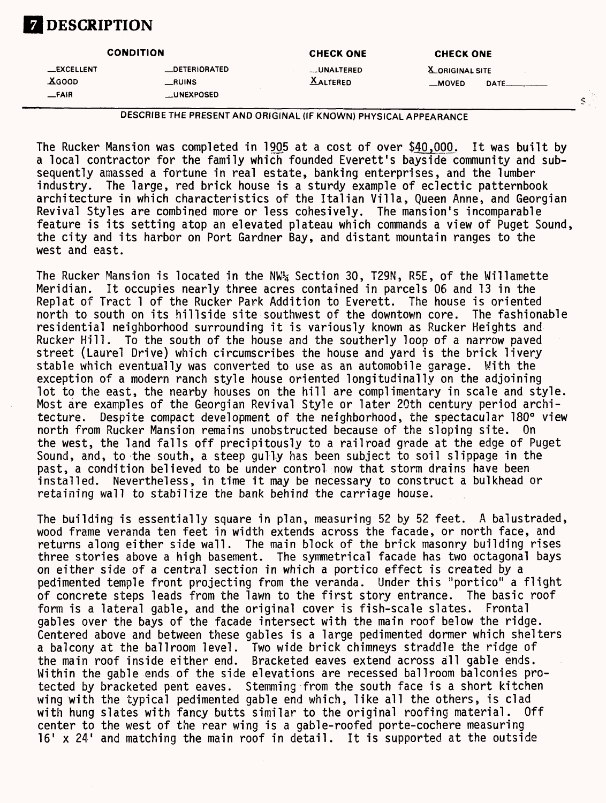# **Z DESCRIPTION**

|                                             | <b>CONDITION</b>                                    | <b>CHECK ONE</b>               | <b>CHECK ONE</b>                                            |
|---------------------------------------------|-----------------------------------------------------|--------------------------------|-------------------------------------------------------------|
| <b>__EXCELLENT</b><br><b>XGOOD</b><br>-FAIR | <b>LDETERIORATED</b><br>_RUINS<br><b>LUNEXPOSED</b> | __UNALTERED<br><b>XALTERED</b> | <b>X</b> ORIGINAL SITE<br>$\equiv$ MOVED<br>$\mathsf{DATE}$ |

 $\bar{\mathbb{S}}$ 

DESCRIBE THE PRESENT AND ORIGINAL (IF KNOWN) PHYSICAL APPEARANCE

The Rucker Mansion was completed in 1905 at a cost of over \$40,000. It was built by a local contractor for the family which founded Everett's bayside community and subsequently amassed a fortune in real estate, banking enterprises, and the lumber industry. The large, red brick house is a sturdy example of eclectic patternbook architecture in which characteristics of the Italian Villa, Queen Anne, and Georgian Revival Styles are combined more or less cohesively. The mansion's incomparable feature is its setting atop an elevated plateau which commands a view of Puget Sound, the city and its harbor on Port Gardner Bay, and distant mountain ranges to the west and east.

The Rucker Mansion is located in the NW% Section 30, T29N, R5E, of the Willamette Meridian. It occupies nearly three acres contained in parcels 06 and 13 in the Replat of Tract 1 of the Rucker Park Addition to Everett. north to south on its hillside site southwest of the downtown core. The fashionable residential neighborhood surrounding it is variously known as Rucker Heights and Rucker Hill. To the south of the house and the southerly loop of a narrow paved street (Laurel Drive) which circumscribes the house and yard is the brick livery stable which eventually was converted to use as an automobile garage. With the exception of a modern ranch style house oriented longitudinally on the adjoining lot to the east, the nearby houses on the hill are complimentary in scale and style. Most are examples of the Georgian Revival Style or later 20th century period architecture. Despite compact development of the neighborhood, the spectacular 180° view north from Rucker Mansion remains unobstructed because of the sloping site. On the west, the land falls off precipitously to a railroad grade at the edge of Puget Sound, and, to the south, a steep gully has been subject to soil slippage in the past, a condition believed to be under control now that storm drains have been installed. Nevertheless, in time it may be necessary to construct a bulkhead or retaining wall to stabilize the bank behind the carriage house.

The building is essentially square in plan, measuring 52 by 52 feet. A balustraded, wood frame veranda ten feet in width extends across the facade, or north face, and returns along either side wall. The main block of the brick masonry building rises three stories above a high basement. The symmetrical facade has two octagonal bays on either side of a central section in which a portico effect is created by a pedimented temple front projecting from the veranda. Under this "portico" a flight of concrete steps leads from the lawn to the first story entrance. The basic roof form is a lateral gable, and the original cover is fish-scale slates. Frontal gables over the bays of the facade intersect with the main roof below the ridge. Centered above and between these gables is a large pedimented dormer which shelters a balcony at the ballroom level. Two wide brick chimneys straddle the ridge of the main roof inside either end. Bracketed eaves extend across all gable ends. Within the gable ends of the side elevations are recessed ballroom balconies protected by bracketed pent eaves. Stemming from the south face is a short kitchen wing with the typical pedimented gable end which, like all the others, is clad with hung slates with fancy butts similar to the original roofing material. Off center to the west of the rear wing is a gable-roofed porte-cochere measuring 16' x 24' and matching the main roof in detail. It is supported at the outside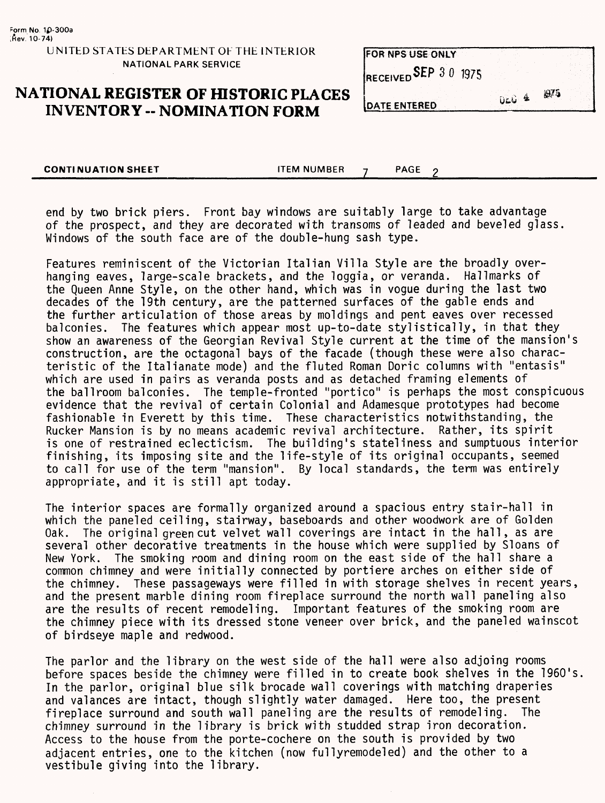### **NATIONAL REGISTER OF HISTORIC PLACES INVENTORY - NOMINATION FORM**

| <b>DATE ENTERED</b>     | 0.64 | 1975 |
|-------------------------|------|------|
| RECEIVED SEP 3 0 1975   |      |      |
| <b>FOR NPS USE ONLY</b> |      |      |

 $\overline{2}$ 

**CONTINUATION SHEET CONTINUATION SHEET** 

end by two brick piers. Front bay windows are suitably large to take advantage of the prospect, and they are decorated with transoms of leaded and beveled glass. Windows of the south face are of the double-hung sash type.

Features reminiscent of the Victorian Italian Villa Style are the broadly overhanging eaves, large-scale brackets, and the loggia, or veranda. Hallmarks of the Queen Anne Style, on the other hand, which was in vogue during the last two decades of the 19th century, are the patterned surfaces of the gable ends and the further articulation of those areas by moldings and pent eaves over recessed balconies. The features which appear most up-to-date stylistically, in that they show an awareness of the Georgian Revival Style current at the time of the mansion's construction, are the octagonal bays of the facade (though these were also characteristic of the Italianate mode) and the fluted Roman Doric columns with "entasis" which are used in pairs as veranda posts and as detached framing elements of the ballroom balconies. The temple-fronted "portico" is perhaps the most conspicuous evidence that the revival of certain Colonial and Adamesque prototypes had become fashionable in Everett by this time. These characteristics notwithstanding, the Rucker Mansion is by no means academic revival architecture. Rather, its spirit is one of restrained eclecticism. The building's stateliness and sumptuous interior finishing, its imposing site and the life-style of its original occupants, seemed to call for use of the term "mansion". By local standards, the term was entirely appropriate, and it is still apt today.

The interior spaces are formally organized around a spacious entry stair-hall in which the paneled ceiling, stairway, baseboards and other woodwork are of Golden Oak. The original green cut velvet wall coverings are intact in the hall, as are several other decorative treatments in the house which were supplied by Sloans of New York. The smoking room and dining room on the east side of the hall share a common chimney and were initially connected by portiere arches on either side of the chimney. These passageways were filled in with storage shelves in recent years, and the present marble dining room fireplace surround the north wall paneling also are the results of recent remodeling. Important features of the smoking room are the chimney piece with its dressed stone veneer over brick, and the paneled wainscot of birdseye maple and redwood.

The parlor and the library on the west side of the hall were also adjoing rooms before spaces beside the chimney were filled in to create book shelves in the 1960's. In the parlor, original blue silk brocade wall coverings with matching draperies and valances are intact, though slightly water damaged. Here too, the present fireplace surround and south wall paneling are the results of remodeling. The chimney surround in the library is brick with studded strap iron decoration. Access to the house from the porte-cochere on the south is provided by two adjacent entries, one to the kitchen (now fullyremodeled) and the other to a vestibule giving into the library.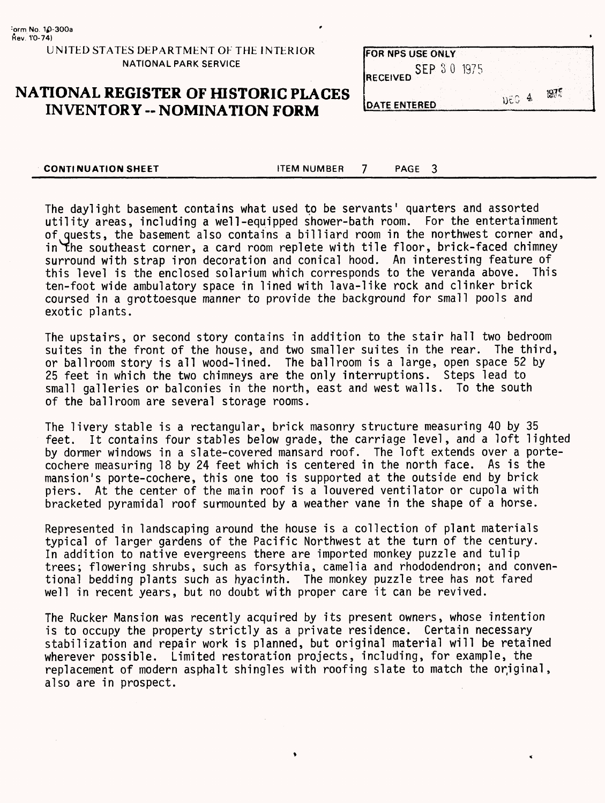### **NATIONAL REGISTER OF HISTORIC PLACES INVENTORY -- NOMINATION FORM**

| <b>FOR NPS USE ONLY</b>        |                                   |      |
|--------------------------------|-----------------------------------|------|
| SEP 30 1975<br><b>RECEIVED</b> |                                   |      |
| <b>IDATE ENTERED</b>           | -4<br>$\mathrm{D}\in\mathbb{C}^+$ | 19/5 |

**CONTINUATION SHEET** FIEM NUMBER 7 PAGE 3

The daylight basement contains what used to be servants' quarters and assorted utility areas, including a well-equipped shower-bath room. For the entertainment of Quests, the basement also contains a billiard room in the northwest corner and, in The southeast corner, a card room replete with tile floor, brick-faced chimney surround with strap iron decoration and conical hood. An interesting feature of this level is the enclosed solarium which corresponds to the veranda above. This ten-foot wide ambulatory space in lined with lava-like rock and clinker brick coursed in a grottoesque manner to provide the background for small pools and exotic plants.

The upstairs, or second story contains in addition to the stair hall two bedroom suites in the front of the house, and two smaller suites in the rear. The third, or ballroom story is all wood-lined. The ballroom is a large, open space 52 by 25 feet in which the two chimneys are the only interruptions. Steps lead to small galleries or balconies in the north, east and west walls. To the south of the ballroom are several storage rooms.

The livery stable is a rectangular, brick masonry structure measuring 40 by 35 feet. It contains four stables below grade, the carriage level, and a loft lighted by dormer windows in a slate-covered mansard roof. The loft extends over a portecochere measuring 18 by 24 feet which is centered in the north face. As is the mansion's porte-cochere, this one too is supported at the outside end by brick piers. At the center of the main roof is a louvered ventilator or cupola with bracketed pyramidal roof surmounted by a weather vane in the shape of a horse.

Represented in landscaping around the house is a collection of plant materials typical of larger gardens of the Pacific Northwest at the turn of the century. In addition to native evergreens there are imported monkey puzzle and tulip trees; flowering shrubs, such as forsythia, camelia and rhododendron; and conventional bedding plants such as hyacinth. The monkey puzzle tree has not fared well in recent years, but no doubt with proper care it can be revived.

The Rucker Mansion was recently acquired by its present owners, whose intention is to occupy the property strictly as a private residence. Certain necessary stabilization and repair work is planned, but original material will be retained wherever possible. Limited restoration projects, including, for example, the replacement of modern asphalt shingles with roofing slate to match the original, also are in prospect.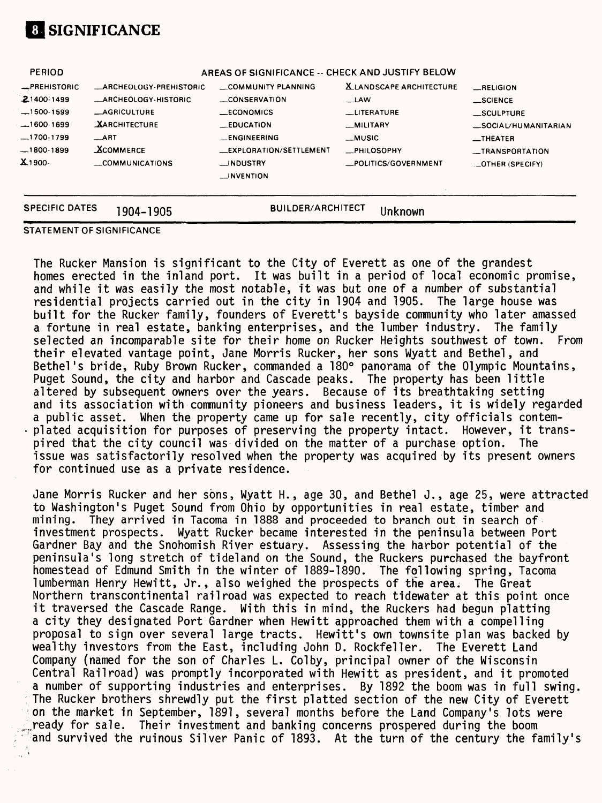

| <b>SPECIFIC DATES</b> | 1904-1905                                        | <b>BUILDER/ARCHITECT</b>       | Unknown                         |                                  |  |
|-----------------------|--------------------------------------------------|--------------------------------|---------------------------------|----------------------------------|--|
|                       |                                                  | $\equiv$ INVENTION             |                                 |                                  |  |
| $X_{1900}$            | COMMUNICATIONS                                   | $\equiv$ INDUSTRY              | _POLITICS/GOVERNMENT            | <b>LOTHER (SPECIFY)</b>          |  |
| $-1800-1899$          | <b>XCOMMERCE</b>                                 | <b>LEXPLORATION/SETTLEMENT</b> | <b>_PHILOSOPHY</b>              | __TRANSPORTATION                 |  |
| $-1700-1799$          | $\overline{\phantom{1}}$ ART                     | <b>ENGINEERING</b>             | __MUSIC                         | $\overline{\phantom{0}}$ THEATER |  |
| $-1600-1699$          | <b>XARCHITECTURE</b>                             | $\_$ EDUCATION                 | _MILITARY                       | _SOCIAL/HUMANITARIAN             |  |
| $-1500-1599$          | <b>_AGRICULTURE</b>                              | __ECONOMICS                    | <b>LITERATURE</b>               | _SCULPTURE                       |  |
| $21400 - 1499$        | <b>ARCHEOLOGY-HISTORIC</b>                       | CONSERVATION                   | $\sqcup$ LAW                    | $\equiv$ SCIENCE                 |  |
| <b>EPREHISTORIC</b>   | <b>ARCHEOLOGY-PREHISTORIC</b>                    | COMMUNITY PLANNING             | <b>X.LANDSCAPE ARCHITECTURE</b> | RELIGION                         |  |
| <b>PERIOD</b>         | AREAS OF SIGNIFICANCE -- CHECK AND JUSTIFY BELOW |                                |                                 |                                  |  |

#### **STATEMENT OF SIGNIFICANCE**

The Rucker Mansion is significant to the City of Everett as one of the grandest homes erected in the inland port. It was built in a period of local economic promise, and while it was easily the most notable, it was but one of a number of substantial residential projects carried out in the city in 1904 and 1905. The large house was built for the Rucker family, founders of Everett's bayside community who later amassed<br>a fortune in real estate, banking enterprises, and the lumber industry. The family a fortune in real estate, banking enterprises, and the lumber industry. selected an incomparable site for their home on Rucker Heights southwest of town. From their elevated vantage point, Jane Morris Rucker, her sons Wyatt and Bethel, and Bethel's bride, Ruby Brown Rucker, commanded a 180° panorama of the Olympic Mountains, Puget Sound, the city and harbor and Cascade peaks. The property has been little altered by subsequent owners over the years. Because of its breathtaking setting and its association with community pioneers and business leaders, it is widely regarded a public asset. When the property came up for sale recently, city officials contemplated acquisition for purposes of preserving the property intact. However, it transpired that the city council was divided on the matter of a purchase option. The issue was satisfactorily resolved when the property was acquired by its present owners for continued use as a private residence.

Jane Morris Rucker and her sons, Wyatt H., age 30, and Bethel J., age 25, were attracted to Washington's Puget Sound from Ohio by opportunities in real estate, timber and mining. They arrived in Tacoma in 1888 and proceeded to branch out in search of investment prospects. Wyatt Rucker became interested in the peninsula between Port Gardner Bay and the Snohomish River estuary. Assessing the harbor potential of the peninsula's long stretch of tideland on the Sound, the Ruckers purchased the bayfront homestead of Edmund Smith in the winter of 1889-1890. The following spring, Tacoma lumberman Henry Hewitt, Jr., also weighed the prospects of the area. The Great Northern transcontinental railroad was expected to reach tidewater at this point once it traversed the Cascade Range. With this in mind, the Ruckers had begun platting a city they designated Port Gardner when Hewitt approached them with a compelling proposal to sign over several large tracts. Hewitt's own townsite plan was backed by wealthy investors from the East, including John D. Rockfeller. The Everett Land Company (named for the son of Charles L. Colby, principal owner of the Wisconsin Central Railroad) was promptly incorporated with Hewitt as president, and it promoted a number of supporting industries and enterprises. By 1892 the boom was in full swing. The Rucker brothers shrewdly put the first platted section of the new City of Everett on the market in September, 1891, several months before the Land Company's lots were ready for sale. Their investment and banking concerns prospered during the boom and survived the ruinous Silver Panic of 1893. At the turn of the century the family's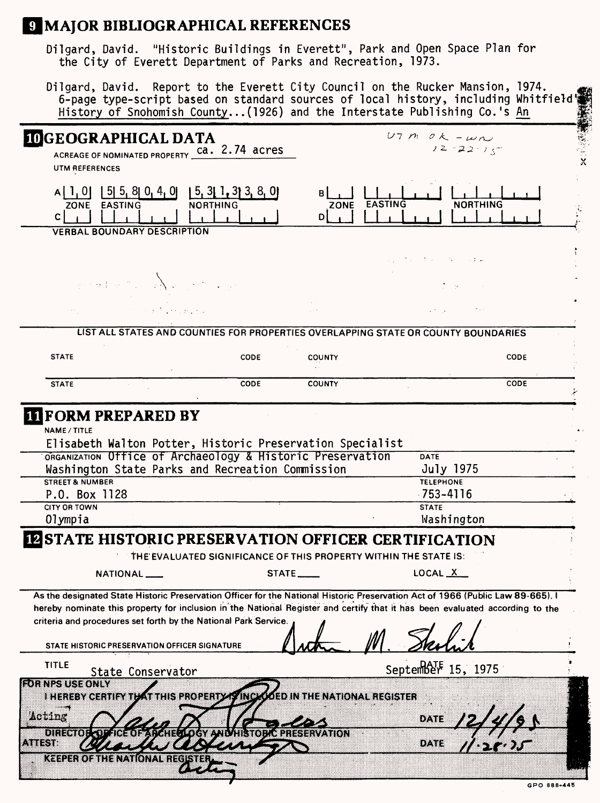# **MAJOR BIBLIOGRAPHICAL REFERENCES**

Dilgard, David. "Historic Buildings in Everett", Park and Open Space Plan for the City of Everett Department of Parks and Recreation, 1973.

Dilgard, David. Report to the Everett City Council on the Rucker Mansion, 1974. 6-page type-script based on standard sources of local history, including Whitfield's History of Snohomish County...(1926) and the Interstate Publishing Co.'s An History of Snohomish County...(1926) and the Interstate Publishing Co.'s An

| <b>IDGEOGRAPHICAL DATA</b><br>ACREAGE OF NOMINATED PROPERTY Ca. 2.74 acres<br><b>UTM REFERENCES</b>                                                                                                                                                                                                                                                                                 |                                                                                    |             |                     |                                      | $UTM OK - \omega n$<br>$12 - 22 - 15$ |             |
|-------------------------------------------------------------------------------------------------------------------------------------------------------------------------------------------------------------------------------------------------------------------------------------------------------------------------------------------------------------------------------------|------------------------------------------------------------------------------------|-------------|---------------------|--------------------------------------|---------------------------------------|-------------|
| $A[1, 0]$   5   5   8   0   4   0   1   5   3   1   3   3   8   0  <br>ZONE EASTING<br>C.                                                                                                                                                                                                                                                                                           | <b>NORTHING</b>                                                                    |             | D                   | ZONE EASTING                         | <b>NORTHING</b>                       |             |
| <b>VERBAL BOUNDARY DESCRIPTION</b>                                                                                                                                                                                                                                                                                                                                                  |                                                                                    |             |                     |                                      |                                       |             |
| and an interval and $\sum_{i=1}^n a_i \leq \frac{1}{2}$                                                                                                                                                                                                                                                                                                                             |                                                                                    |             |                     |                                      | and the control of the second con-    |             |
|                                                                                                                                                                                                                                                                                                                                                                                     |                                                                                    |             |                     |                                      |                                       |             |
|                                                                                                                                                                                                                                                                                                                                                                                     | <b>Professional Committee</b>                                                      |             |                     |                                      |                                       |             |
|                                                                                                                                                                                                                                                                                                                                                                                     | LIST ALL STATES AND COUNTIES FOR PROPERTIES OVERLAPPING STATE OR COUNTY BOUNDARIES |             |                     |                                      |                                       |             |
| <b>STATE</b>                                                                                                                                                                                                                                                                                                                                                                        |                                                                                    | <b>CODE</b> | <b>COUNTY</b>       |                                      |                                       | <b>CODE</b> |
| <b>STATE</b>                                                                                                                                                                                                                                                                                                                                                                        |                                                                                    | <b>CODE</b> | <b>COUNTY</b>       |                                      |                                       | CODE        |
|                                                                                                                                                                                                                                                                                                                                                                                     |                                                                                    |             |                     |                                      |                                       |             |
| <b>IT FORM PREPARED BY</b><br>NAME / TITLE<br>Elisabeth Walton Potter, Historic Preservation Specialist<br>ORGANIZATION Office of Archaeology & Historic Preservation                                                                                                                                                                                                               |                                                                                    |             |                     |                                      | <b>DATE</b>                           |             |
| Washington State Parks and Recreation Commission                                                                                                                                                                                                                                                                                                                                    |                                                                                    |             |                     |                                      | July 1975                             |             |
| <b>STREET &amp; NUMBER</b>                                                                                                                                                                                                                                                                                                                                                          |                                                                                    |             |                     |                                      | <b>TELEPHONE</b>                      |             |
| P.O. Box 1128                                                                                                                                                                                                                                                                                                                                                                       |                                                                                    |             |                     |                                      | $-753 - 4116$                         |             |
| <b>CITY OR TOWN</b>                                                                                                                                                                                                                                                                                                                                                                 |                                                                                    |             |                     |                                      | <b>STATE</b>                          |             |
| Olympia                                                                                                                                                                                                                                                                                                                                                                             |                                                                                    |             |                     |                                      | Washington                            |             |
| <b>IN STATE HISTORIC PRESERVATION OFFICER CERTIFICATION</b>                                                                                                                                                                                                                                                                                                                         |                                                                                    |             |                     |                                      |                                       |             |
|                                                                                                                                                                                                                                                                                                                                                                                     | THE EVALUATED SIGNIFICANCE OF THIS PROPERTY WITHIN THE STATE IS:                   |             |                     |                                      |                                       |             |
| NATIONAL                                                                                                                                                                                                                                                                                                                                                                            |                                                                                    | STATE       |                     |                                      | LOCAL X                               |             |
| As the designated State Historic Preservation Officer for the National Historic Preservation Act of 1966 (Public Law 89-665), I<br>hereby nominate this property for inclusion in the National Register and certify that it has been evaluated according to the<br>criteria and procedures set forth by the National Park Service.<br>STATE HISTORIC PRESERVATION OFFICER SIGNATURE |                                                                                    |             |                     |                                      |                                       |             |
| <b>TITLE</b><br>State Conservator                                                                                                                                                                                                                                                                                                                                                   |                                                                                    |             |                     |                                      | September 15, 1975                    |             |
| <b>GENERAL SERVICE</b><br><b>I HEREBY CERTIFY THAT THIS PROPERTY THISK</b><br>Acting<br>unan Turat<br>AHIST                                                                                                                                                                                                                                                                         | AYANEG KAWANDI                                                                     | $-88837.8$  | <b>PRESERVATION</b> | <b>OOED IN THE NATIONAL REGISTER</b> | DATE<br>02.XX 3                       |             |
| <b>KEEPER OF THE NATIONAL REGIS</b>                                                                                                                                                                                                                                                                                                                                                 |                                                                                    |             |                     |                                      |                                       |             |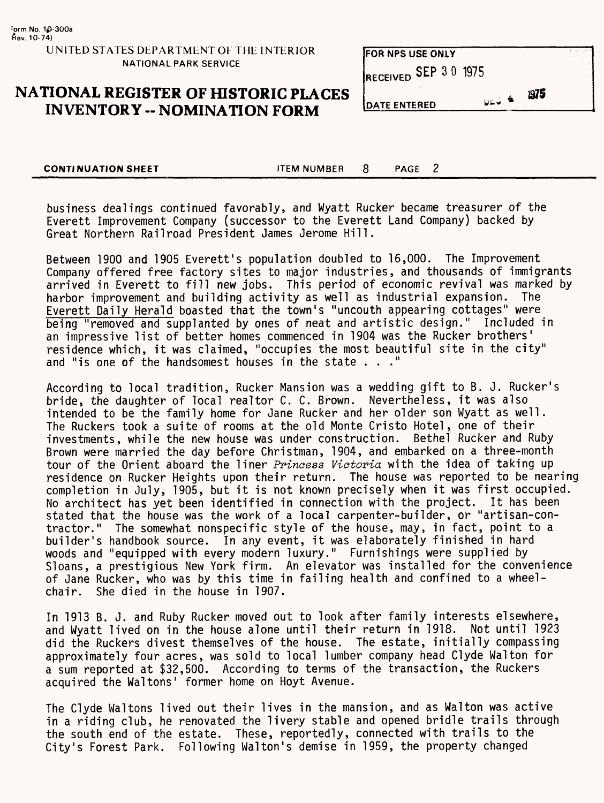### **NATIONAL REGISTER OF HISTORIC PLACES INVENTORY -- NOMINATION FORM**

| <b>DATE ENTERED</b>   | $U = -\frac{4}{3}$ | 1975 |  |
|-----------------------|--------------------|------|--|
| RECEIVED SEP 3 0 1975 |                    |      |  |
| FOR NPS USE ONLY      |                    |      |  |

**CONTINUATION SHEET** TEM NUMBER 8 PAGE 2

business dealings continued favorably, and Wyatt Rucker became treasurer of the Everett Improvement Company (successor to the Everett Land Company) backed by Great Northern Railroad President James Jerome Hill.

Between 1900 and 1905 Everett's population doubled to 16,000. The Improvement Company offered free factory sites to major industries, and thousands of immigrants arrived in Everett to fill new jobs. This period of economic revival was marked by<br>harbor improvement and building activity as well as industrial expansion. The harbor improvement and building activity as well as industrial expansion. Everett Daily Herald boasted that the town's "uncouth appearing cottages" were being "removed and supplanted by ones of neat and artistic design." Included in an impressive list of better homes commenced in 1904 was the Rucker brothers' residence which, it was claimed, "occupies the most beautiful site in the city" and "is one of the handsomest houses in the state ..."

According to local tradition, Rucker Mansion was a wedding gift to B. J. Rucker's bride, the daughter of local realtor C. C. Brown. Nevertheless, it was also intended to be the family home for Jane Rucker and her older son Wyatt as well. The Ruckers took a suite of rooms at the old Monte Cristo Hotel, one of their investments, while the new house was under construction. Bethel Rucker and Ruby Brown were married the day before Christman, 1904, and embarked on a three-month tour of the Orient aboard the liner Princess Victoria with the idea of taking up residence on Rucker Heights upon their return. The house was reported to be nearing completion in July, 1905, but it is not known precisely when it was first occupied. No architect has yet been identified in connection with the project. It has been stated that the house was the work of a local carpenter-builder, or "artisan-contractor." The somewhat nonspecific style of the house, may, in fact, point to a builder's handbook source. In any event, it was elaborately finished in hard woods and "equipped with every modern luxury." Furnishings were supplied by Sloans, a prestigious New York firm. An elevator was installed for the convenience of Jane Rucker, who was by this time in failing health and confined to a wheelchair. She died in the house in 1907.

In 1913 B. J. and Ruby Rucker moved out to look after family interests elsewhere, and Wyatt lived on in the house alone until their return in 1918. Not until 1923 did the Ruckers divest themselves of the house. The estate, initially compassing approximately four acres, was sold to local lumber company head Clyde Walton for a sum reported at \$32,500. According to terms of the transaction, the Ruckers acquired the Waltons' former home on Hoyt Avenue.

The Clyde Waltons lived out their lives in the mansion, and as Walton was active in a riding club, he renovated the livery stable and opened bridle trails through the south end of the estate. These, reportedly, connected with trails to the City's Forest Park. Following Walton's demise in 1959, the property changed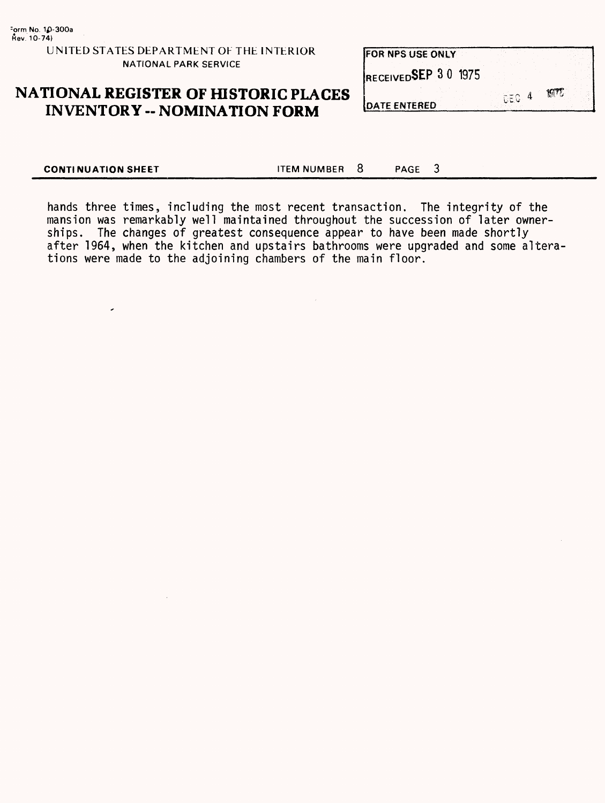$\overline{\phantom{a}}$ 

| <b>FOR NPS USE ONLY</b> |        |  |
|-------------------------|--------|--|
| RECEIVEDSEP 30 1975     |        |  |
| <b>DATE CHITEDED</b>    | - CEG∴ |  |

# **NATIONAL REGISTER OF HISTORIC PLACES INVENTORY -- NOMINATION FORM**

**IDATE ENT** 

**CONTINUATION SHEET ITEM NUMBER 8** PAGE 3

hands three times, including the most recent transaction. The integrity of the mansion was remarkably well maintained throughout the succession of later ownerships. The changes of greatest consequence appear to have been made shortly after 1964, when the kitchen and upstairs bathrooms were upgraded and some alterations were made to the adjoining chambers of the main floor.